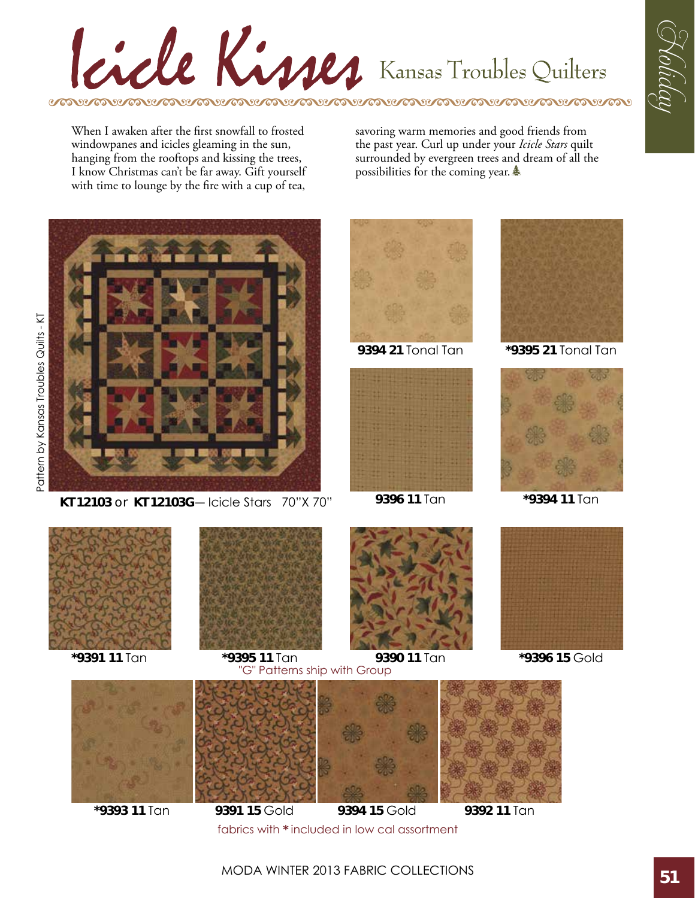## Cicle Kisses Kansas Troubles Quilters RIGHT GOVIGORIAN GOVIGORIAN GOVIGORIAN GOV GO SC GO SC GO

When I awaken after the first snowfall to frosted windowpanes and icicles gleaming in the sun, hanging from the rooftops and kissing the trees, I know Christmas can't be far away. Gift yourself with time to lounge by the fire with a cup of tea,

savoring warm memories and good friends from the past year. Curl up under your *Icicle Stars* quilt surrounded by evergreen trees and dream of all the possibilities for the coming year.  $\triangleq$ 



**KT 12103** or **KT 12103G**― Icicle Stars 70"X 70"







G Koliday

**9394 21** Tonal Tan **\*9395 21** Tonal Tan



**\*9394 11** Tan





**\*9395 11** Tan **\*9391 11** Tan **9390 11** Tan **\*9396 15** Gold G" Patterns ship with Group





fabrics with **\*** included in low cal assortment

**9391 15** Gold **9394 15** Gold

 $600$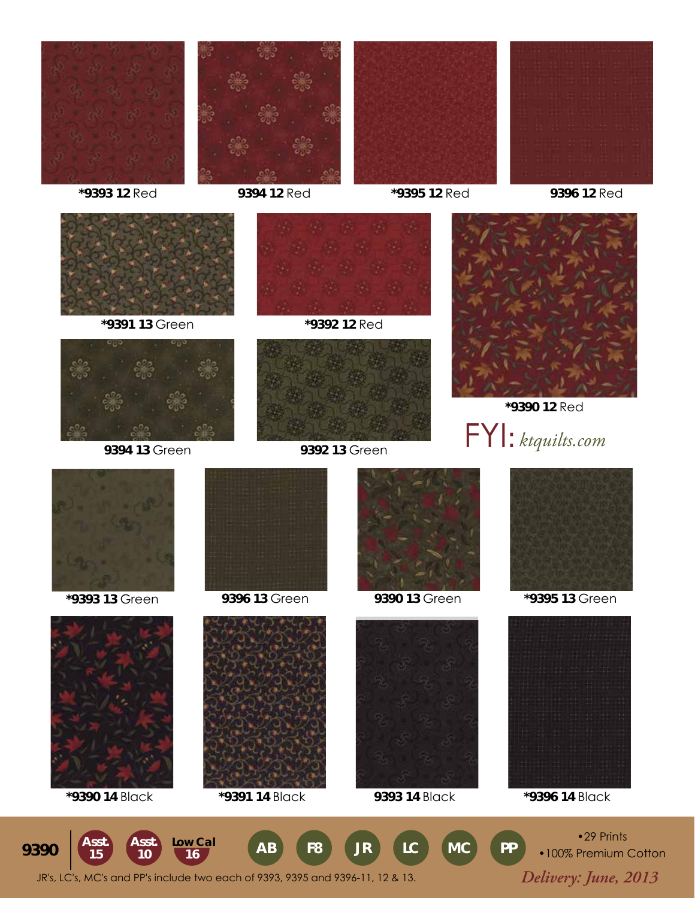







**\*9393 12** Red **9394 12** Red **\*9395 12** Red **9396 12** Red











**\*9390 12** Red **9394 13** Green **9392 13** Green FYI: *ktquilts.com*









**\*9390 14** Black **\*9391 14** Black **9393 14** Black **\*9396 14** Black







**\*9393 13** Green **9396 13** Green **9390 13** Green **\*9395 13** Green



 *Delivery: June, 2013* JR's, LC's, MC's and PP's include two each of 9393, 9395 and 9396-11, 12 & 13. **Asst.** Asst. Low Cal **AB F8** JR LC MC PP **15 Asst.**

•100% Premium Cotton

•29 Prints